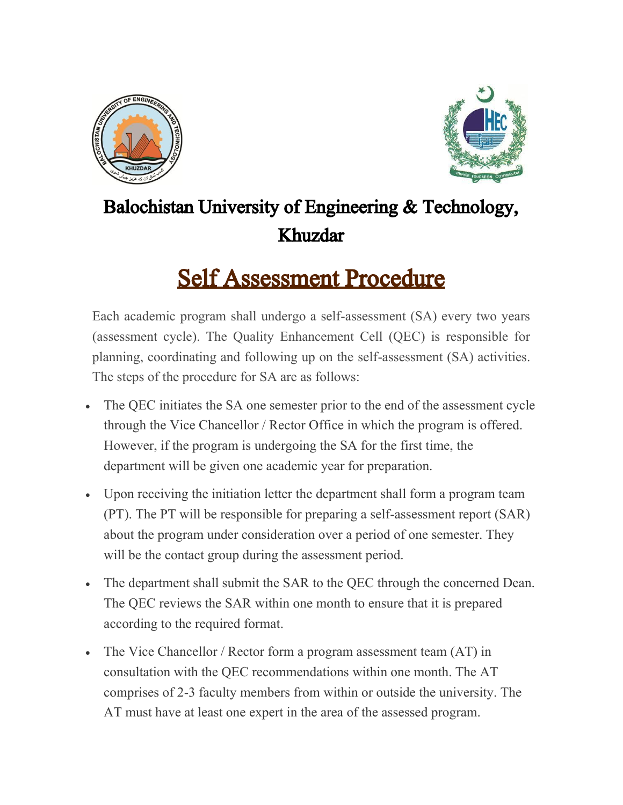



## Balochistan University of Engineering & Technology, Khuzdar

## Self Assessment Procedure

Each academic program shall undergo a self-assessment (SA) every two years (assessment cycle). The Quality Enhancement Cell (QEC) is responsible for planning, coordinating and following up on the self-assessment (SA) activities. The steps of the procedure for SA are as follows:

- The QEC initiates the SA one semester prior to the end of the assessment cycle through the Vice Chancellor / Rector Office in which the program is offered. However, if the program is undergoing the SA for the first time, the department will be given one academic year for preparation.
- Upon receiving the initiation letter the department shall form a program team (PT). The PT will be responsible for preparing a self-assessment report (SAR) about the program under consideration over a period of one semester. They will be the contact group during the assessment period.
- The department shall submit the SAR to the QEC through the concerned Dean. The QEC reviews the SAR within one month to ensure that it is prepared according to the required format.
- The Vice Chancellor / Rector form a program assessment team (AT) in consultation with the QEC recommendations within one month. The AT comprises of 2-3 faculty members from within or outside the university. The AT must have at least one expert in the area of the assessed program.